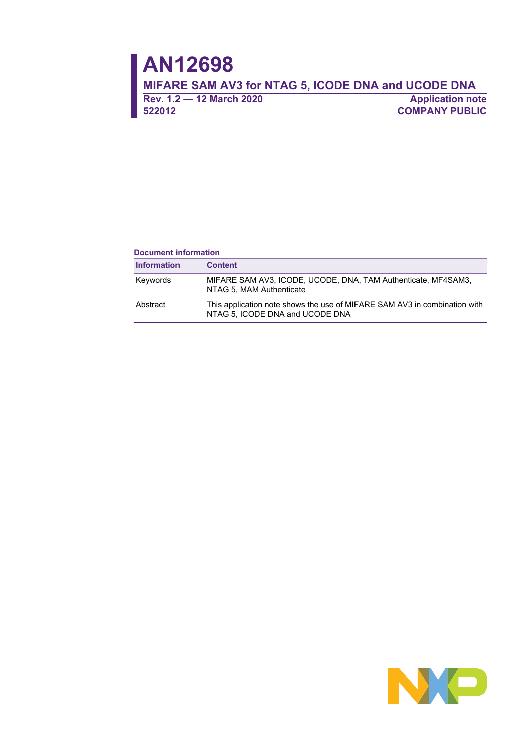**Rev. 1.2 — 12 March 2020 Application note 522012 COMPANY PUBLIC**

### **Document information**

| <b>Information</b> | <b>Content</b>                                                                                               |
|--------------------|--------------------------------------------------------------------------------------------------------------|
| Keywords           | MIFARE SAM AV3, ICODE, UCODE, DNA, TAM Authenticate, MF4SAM3,<br>NTAG 5, MAM Authenticate                    |
| Abstract           | This application note shows the use of MIFARE SAM AV3 in combination with<br>NTAG 5. ICODE DNA and UCODE DNA |

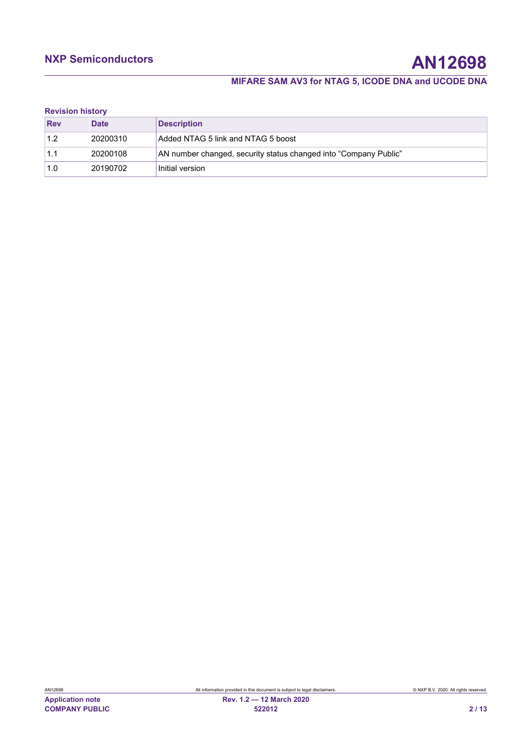# **NXP Semiconductors AN12698**

# **MIFARE SAM AV3 for NTAG 5, ICODE DNA and UCODE DNA**

### **Revision history**

| <b>Rev</b> | <b>Date</b> | <b>Description</b>                                               |
|------------|-------------|------------------------------------------------------------------|
|            | 20200310    | Added NTAG 5 link and NTAG 5 boost                               |
|            | 20200108    | AN number changed, security status changed into "Company Public" |
| 1.0        | 20190702    | Initial version                                                  |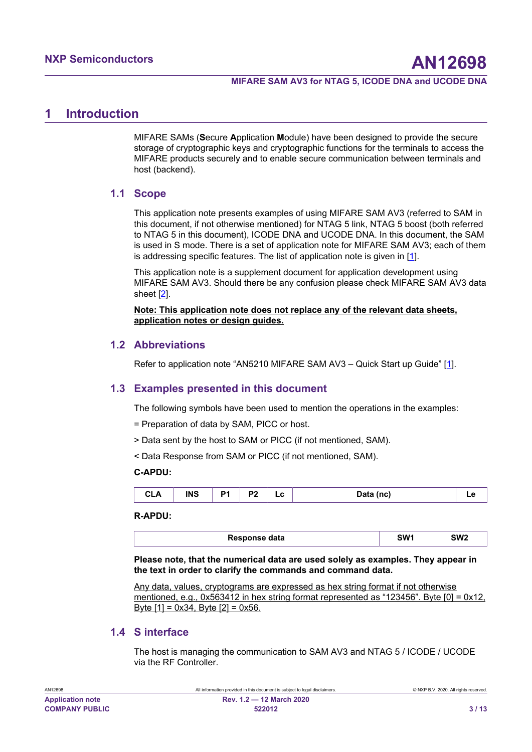# <span id="page-2-0"></span>**1 Introduction**

MIFARE SAMs (**S**ecure **A**pplication **M**odule) have been designed to provide the secure storage of cryptographic keys and cryptographic functions for the terminals to access the MIFARE products securely and to enable secure communication between terminals and host (backend).

### <span id="page-2-1"></span>**1.1 Scope**

This application note presents examples of using MIFARE SAM AV3 (referred to SAM in this document, if not otherwise mentioned) for NTAG 5 link, NTAG 5 boost (both referred to NTAG 5 in this document), ICODE DNA and UCODE DNA. In this document, the SAM is used in S mode. There is a set of application note for MIFARE SAM AV3; each of them is addressing specific features. The list of application note is given in [\[1\]](#page-7-0).

This application note is a supplement document for application development using MIFARE SAM AV3. Should there be any confusion please check MIFARE SAM AV3 data sheet [[2\]](#page-7-0).

**Note: This application note does not replace any of the relevant data sheets, application notes or design guides.**

## <span id="page-2-2"></span>**1.2 Abbreviations**

<span id="page-2-3"></span>Refer to application note "AN52[1](#page-7-0)0 MIFARE SAM AV3 - Quick Start up Guide" [1].

### **1.3 Examples presented in this document**

The following symbols have been used to mention the operations in the examples:

- = Preparation of data by SAM, PICC or host.
- > Data sent by the host to SAM or PICC (if not mentioned, SAM).
- < Data Response from SAM or PICC (if not mentioned, SAM).

### **C-APDU:**

| £<br>---- | <b>INS</b> | $\sim$<br>ъ. | D. | -<br>--<br>$ -$ | (nc)<br>`-<br>$-$ |  |
|-----------|------------|--------------|----|-----------------|-------------------|--|
|-----------|------------|--------------|----|-----------------|-------------------|--|

### **R-APDU:**

| Response data | SW1 | <b>SW2</b> |  |
|---------------|-----|------------|--|
|               |     |            |  |

**Please note, that the numerical data are used solely as examples. They appear in the text in order to clarify the commands and command data.**

Any data, values, cryptograms are expressed as hex string format if not otherwise mentioned, e.g., 0x563412 in hex string format represented as "123456". Byte [0] = 0x12, Byte  $[1] = 0x34$ , Byte  $[2] = 0x56$ .

### <span id="page-2-4"></span>**1.4 S interface**

The host is managing the communication to SAM AV3 and NTAG 5 / ICODE / UCODE via the RF Controller.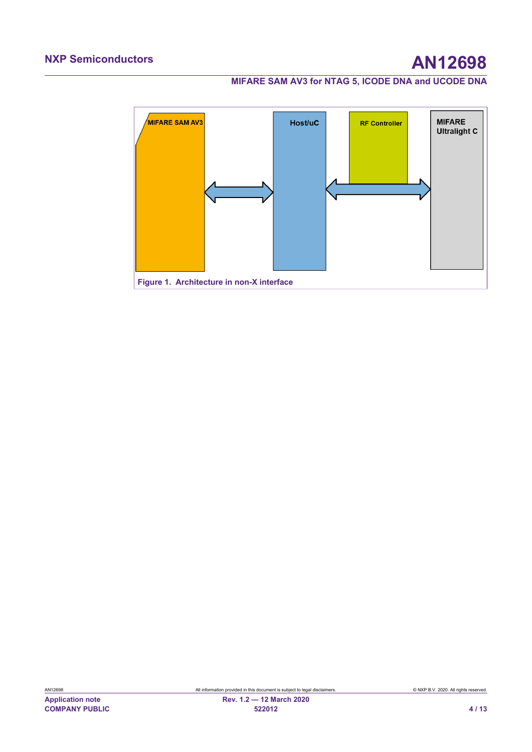<span id="page-3-0"></span>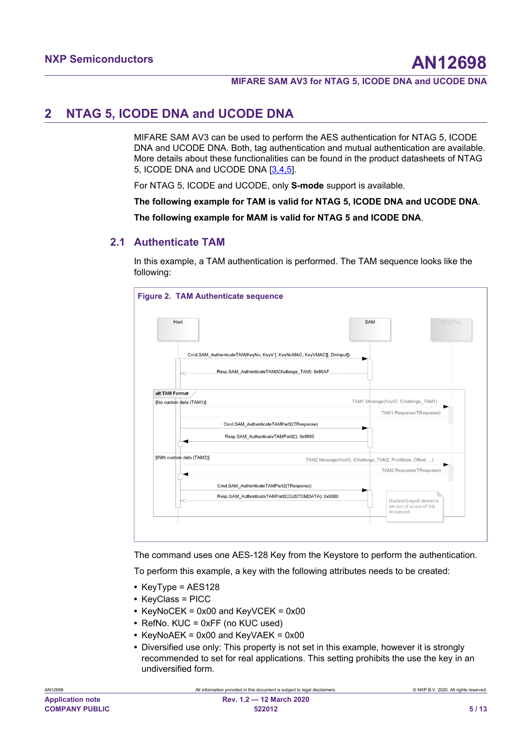# <span id="page-4-1"></span>**2 NTAG 5, ICODE DNA and UCODE DNA**

MIFARE SAM AV3 can be used to perform the AES authentication for NTAG 5, ICODE DNA and UCODE DNA. Both, tag authentication and mutual authentication are available. More details about these functionalities can be found in the product datasheets of NTAG 5, ICODE DNA and UCODE DNA [\[3,4,5\]](#page-7-0).

For NTAG 5, ICODE and UCODE, only **S-mode** support is available.

**The following example for TAM is valid for NTAG 5, ICODE DNA and UCODE DNA**.

<span id="page-4-2"></span>**The following example for MAM is valid for NTAG 5 and ICODE DNA**.

## **2.1 Authenticate TAM**

In this example, a TAM authentication is performed. The TAM sequence looks like the following:

<span id="page-4-0"></span>

The command uses one AES-128 Key from the Keystore to perform the authentication.

To perform this example, a key with the following attributes needs to be created:

- **•** KeyType = AES128
- **•** KeyClass = PICC
- **•** KeyNoCEK = 0x00 and KeyVCEK = 0x00
- **•** RefNo. KUC = 0xFF (no KUC used)
- **•** KeyNoAEK = 0x00 and KeyVAEK = 0x00
- **•** Diversified use only: This property is not set in this example, however it is strongly recommended to set for real applications. This setting prohibits the use the key in an undiversified form.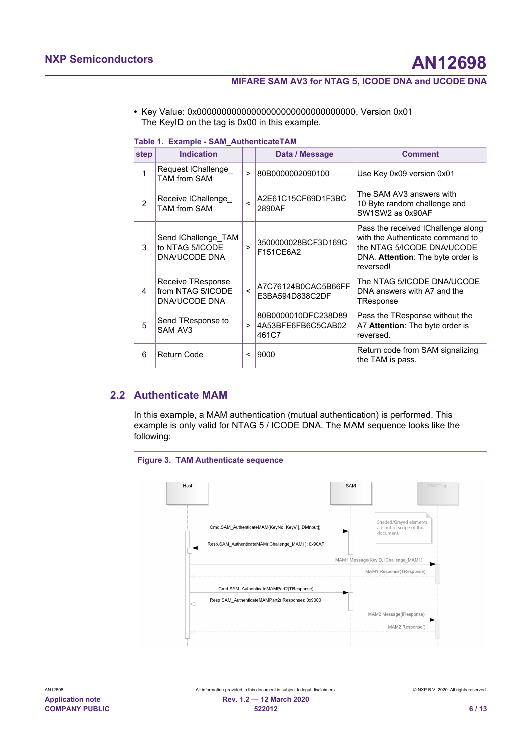**•** Key Value: 0x00000000000000000000000000000000, Version 0x01 The KeyID on the tag is 0x00 in this example.

|                | Table 1. Example - SAM Authenticate (AM                 |         |                                                    |                                                                                                                                                        |  |  |
|----------------|---------------------------------------------------------|---------|----------------------------------------------------|--------------------------------------------------------------------------------------------------------------------------------------------------------|--|--|
| step           | <b>Indication</b>                                       |         | Data / Message                                     | <b>Comment</b>                                                                                                                                         |  |  |
| 1              | Request IChallenge_<br><b>TAM from SAM</b>              | $\geq$  | 80B0000002090100                                   | Use Key 0x09 version 0x01                                                                                                                              |  |  |
| $\mathfrak{p}$ | Receive IChallenge<br><b>TAM from SAM</b>               | $\prec$ | A2E61C15CF69D1F3BC<br>2890AF                       | The SAM AV3 answers with<br>10 Byte random challenge and<br>SW1SW2 as 0x90AF                                                                           |  |  |
| 3              | Send IChallenge TAM<br>to NTAG 5/ICODE<br>DNA/UCODE DNA | $\geq$  | 3500000028BCF3D169C<br>F151CE6A2                   | Pass the received IChallenge along<br>with the Authenticate command to<br>the NTAG 5/ICODE DNA/UCODE<br>DNA. Attention: The byte order is<br>reversed! |  |  |
| 4              | Receive TResponse<br>from NTAG 5/ICODE<br>DNA/UCODE DNA | $\lt$   | A7C76124B0CAC5B66FF<br>E3BA594D838C2DF             | The NTAG 5/ICODE DNA/UCODE<br>DNA answers with A7 and the<br>TResponse                                                                                 |  |  |
| 5              | Send TResponse to<br>SAM AV3                            | $\geq$  | 80B0000010DFC238D89<br>4A53BFE6FB6C5CAB02<br>461C7 | Pass the TResponse without the<br>A7 Attention: The byte order is<br>reversed.                                                                         |  |  |
| 6              | <b>Return Code</b>                                      | $\,<\,$ | 9000                                               | Return code from SAM signalizing<br>the TAM is pass.                                                                                                   |  |  |

<span id="page-5-0"></span>**Table 1. Example - SAM\_AuthenticateTAM**

## **2.2 Authenticate MAM**

<span id="page-5-2"></span>In this example, a MAM authentication (mutual authentication) is performed. This example is only valid for NTAG 5 / ICODE DNA. The MAM sequence looks like the following:

<span id="page-5-1"></span>

| ,,,,,,,,,,              |  |
|-------------------------|--|
| <b>Application note</b> |  |
| <b>COMPANY PUBLIC</b>   |  |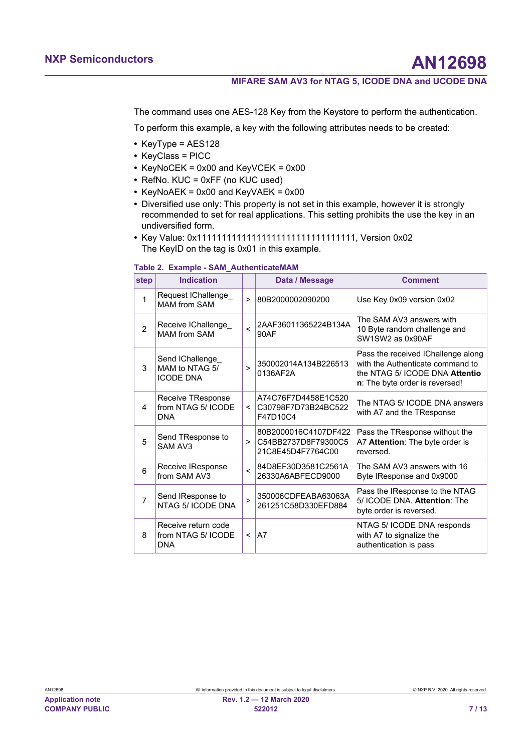The command uses one AES-128 Key from the Keystore to perform the authentication.

To perform this example, a key with the following attributes needs to be created:

- **•** KeyType = AES128
- **•** KeyClass = PICC
- **•** KeyNoCEK = 0x00 and KeyVCEK = 0x00
- **•** RefNo. KUC = 0xFF (no KUC used)
- **•** KeyNoAEK = 0x00 and KeyVAEK = 0x00
- **•** Diversified use only: This property is not set in this example, however it is strongly recommended to set for real applications. This setting prohibits the use the key in an undiversified form.
- **•** Key Value: 0x11111111111111111111111111111111, Version 0x02 The KeyID on the tag is 0x01 in this example.

### <span id="page-6-0"></span>**Table 2. Example - SAM\_AuthenticateMAM**

| step           | <b>Indication</b>                                       |              | Data / Message                                                   | <b>Comment</b>                                                                                                                             |
|----------------|---------------------------------------------------------|--------------|------------------------------------------------------------------|--------------------------------------------------------------------------------------------------------------------------------------------|
| 1              | Request IChallenge<br><b>MAM from SAM</b>               | $\geq$       | 80B2000002090200                                                 | Use Key 0x09 version 0x02                                                                                                                  |
| $\overline{2}$ | Receive IChallenge<br><b>MAM from SAM</b>               | $\prec$      | 2AAF36011365224B134A<br>90AF                                     | The SAM AV3 answers with<br>10 Byte random challenge and<br>SW1SW2 as 0x90AF                                                               |
| 3              | Send IChallenge<br>MAM to NTAG 5/<br><b>ICODE DNA</b>   | $\geq$       | 350002014A134B226513<br>0136AF2A                                 | Pass the received IChallenge along<br>with the Authenticate command to<br>the NTAG 5/ ICODE DNA Attentio<br>n: The byte order is reversed! |
| 4              | Receive TResponse<br>from NTAG 5/ ICODE<br><b>DNA</b>   | $\prec$      | A74C76F7D4458E1C520<br>C30798F7D73B24BC522<br>F47D10C4           | The NTAG 5/ ICODE DNA answers<br>with A7 and the TResponse                                                                                 |
| 5              | Send TResponse to<br>SAM AV3                            | >            | 80B2000016C4107DF422<br>C54BB2737D8F79300C5<br>21C8E45D4F7764C00 | Pass the TResponse without the<br>A7 Attention: The byte order is<br>reversed.                                                             |
| 6              | Receive IResponse<br>from SAM AV3                       | $\prec$      | 84D8EF30D3581C2561A<br>26330A6ABFECD9000                         | The SAM AV3 answers with 16<br>Byte IResponse and 0x9000                                                                                   |
| $\overline{7}$ | Send IResponse to<br>NTAG 5/ ICODE DNA                  | $\mathbf{r}$ | 350006CDFEABA63063A<br>261251C58D330EFD884                       | Pass the IResponse to the NTAG<br>5/ ICODE DNA. Attention: The<br>byte order is reversed.                                                  |
| 8              | Receive return code<br>from NTAG 5/ ICODE<br><b>DNA</b> | $\,<\,$      | A7                                                               | NTAG 5/ ICODE DNA responds<br>with A7 to signalize the<br>authentication is pass                                                           |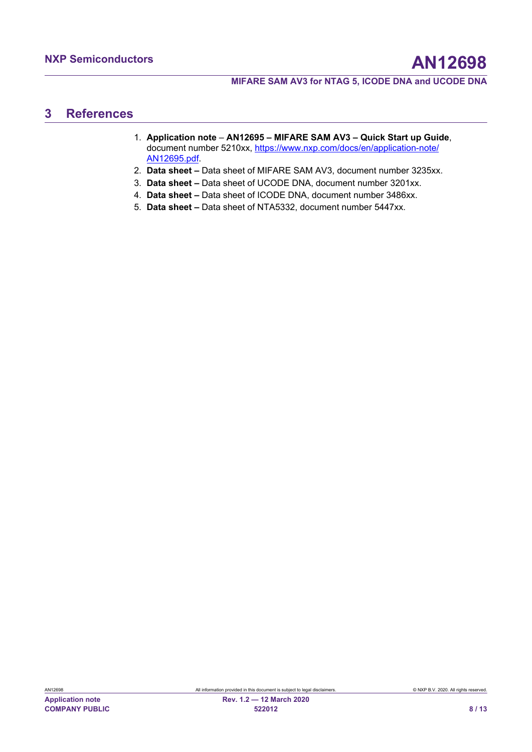# <span id="page-7-1"></span>**3 References**

- <span id="page-7-0"></span>1. **Application note** – **AN12695 – MIFARE SAM AV3 – Quick Start up Guide**, document number 5210xx, [https://www.nxp.com/docs/en/application-note/](https://www.nxp.com/docs/en/application-note/AN12695.pdf) [AN12695.pdf.](https://www.nxp.com/docs/en/application-note/AN12695.pdf)
- 2. **Data sheet** Data sheet of MIFARE SAM AV3, document number 3235xx.
- 3. **Data sheet** Data sheet of UCODE DNA, document number 3201xx.
- 4. **Data sheet** Data sheet of ICODE DNA, document number 3486xx.
- 5. **Data sheet** Data sheet of NTA5332, document number 5447xx.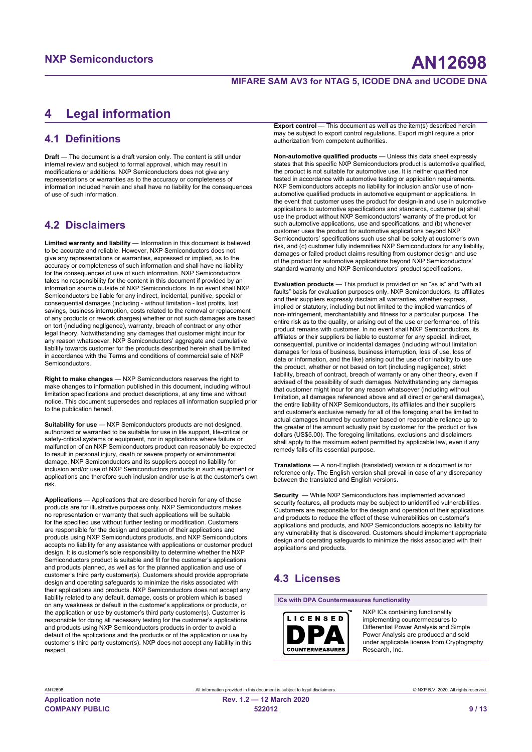# <span id="page-8-0"></span>**4 Legal information**

# **4.1 Definitions**

**Draft** — The document is a draft version only. The content is still under internal review and subject to formal approval, which may result in modifications or additions. NXP Semiconductors does not give any representations or warranties as to the accuracy or completeness of information included herein and shall have no liability for the consequences of use of such information.

# **4.2 Disclaimers**

**Limited warranty and liability** — Information in this document is believed to be accurate and reliable. However, NXP Semiconductors does not give any representations or warranties, expressed or implied, as to the accuracy or completeness of such information and shall have no liability for the consequences of use of such information. NXP Semiconductors takes no responsibility for the content in this document if provided by an information source outside of NXP Semiconductors. In no event shall NXP Semiconductors be liable for any indirect, incidental, punitive, special or consequential damages (including - without limitation - lost profits, lost savings, business interruption, costs related to the removal or replacement of any products or rework charges) whether or not such damages are based on tort (including negligence), warranty, breach of contract or any other legal theory. Notwithstanding any damages that customer might incur for any reason whatsoever, NXP Semiconductors' aggregate and cumulative liability towards customer for the products described herein shall be limited in accordance with the Terms and conditions of commercial sale of NXP Semiconductors.

**Right to make changes** — NXP Semiconductors reserves the right to make changes to information published in this document, including without limitation specifications and product descriptions, at any time and without notice. This document supersedes and replaces all information supplied prior to the publication hereof.

**Suitability for use** — NXP Semiconductors products are not designed, authorized or warranted to be suitable for use in life support, life-critical or safety-critical systems or equipment, nor in applications where failure or malfunction of an NXP Semiconductors product can reasonably be expected to result in personal injury, death or severe property or environmental damage. NXP Semiconductors and its suppliers accept no liability for inclusion and/or use of NXP Semiconductors products in such equipment or applications and therefore such inclusion and/or use is at the customer's own risk.

**Applications** — Applications that are described herein for any of these products are for illustrative purposes only. NXP Semiconductors makes no representation or warranty that such applications will be suitable for the specified use without further testing or modification. Customers are responsible for the design and operation of their applications and products using NXP Semiconductors products, and NXP Semiconductors accepts no liability for any assistance with applications or customer product design. It is customer's sole responsibility to determine whether the NXP Semiconductors product is suitable and fit for the customer's applications and products planned, as well as for the planned application and use of customer's third party customer(s). Customers should provide appropriate design and operating safeguards to minimize the risks associated with their applications and products. NXP Semiconductors does not accept any liability related to any default, damage, costs or problem which is based on any weakness or default in the customer's applications or products, or the application or use by customer's third party customer(s). Customer is responsible for doing all necessary testing for the customer's applications and products using NXP Semiconductors products in order to avoid a default of the applications and the products or of the application or use by customer's third party customer(s). NXP does not accept any liability in this respect.

**Export control** — This document as well as the item(s) described herein may be subject to export control regulations. Export might require a prior authorization from competent authorities.

**Non-automotive qualified products** — Unless this data sheet expressly states that this specific NXP Semiconductors product is automotive qualified, the product is not suitable for automotive use. It is neither qualified nor tested in accordance with automotive testing or application requirements. NXP Semiconductors accepts no liability for inclusion and/or use of nonautomotive qualified products in automotive equipment or applications. In the event that customer uses the product for design-in and use in automotive applications to automotive specifications and standards, customer (a) shall use the product without NXP Semiconductors' warranty of the product for such automotive applications, use and specifications, and (b) whenever customer uses the product for automotive applications beyond NXP Semiconductors' specifications such use shall be solely at customer's own risk, and (c) customer fully indemnifies NXP Semiconductors for any liability, damages or failed product claims resulting from customer design and use of the product for automotive applications beyond NXP Semiconductors' standard warranty and NXP Semiconductors' product specifications.

**Evaluation products** — This product is provided on an "as is" and "with all faults" basis for evaluation purposes only. NXP Semiconductors, its affiliates and their suppliers expressly disclaim all warranties, whether express, implied or statutory, including but not limited to the implied warranties of non-infringement, merchantability and fitness for a particular purpose. The entire risk as to the quality, or arising out of the use or performance, of this product remains with customer. In no event shall NXP Semiconductors, its affiliates or their suppliers be liable to customer for any special, indirect, consequential, punitive or incidental damages (including without limitation damages for loss of business, business interruption, loss of use, loss of data or information, and the like) arising out the use of or inability to use the product, whether or not based on tort (including negligence), strict liability, breach of contract, breach of warranty or any other theory, even if advised of the possibility of such damages. Notwithstanding any damages that customer might incur for any reason whatsoever (including without limitation, all damages referenced above and all direct or general damages), the entire liability of NXP Semiconductors, its affiliates and their suppliers and customer's exclusive remedy for all of the foregoing shall be limited to actual damages incurred by customer based on reasonable reliance up to the greater of the amount actually paid by customer for the product or five dollars (US\$5.00). The foregoing limitations, exclusions and disclaimers shall apply to the maximum extent permitted by applicable law, even if any remedy fails of its essential purpose.

**Translations** — A non-English (translated) version of a document is for reference only. The English version shall prevail in case of any discrepancy between the translated and English versions.

**Security** — While NXP Semiconductors has implemented advanced security features, all products may be subject to unidentified vulnerabilities. Customers are responsible for the design and operation of their applications and products to reduce the effect of these vulnerabilities on customer's applications and products, and NXP Semiconductors accepts no liability for any vulnerability that is discovered. Customers should implement appropriate design and operating safeguards to minimize the risks associated with their applications and products.

## **4.3 Licenses**

**ICs with DPA Countermeasures functionality**



NXP ICs containing functionality implementing countermeasures to Differential Power Analysis and Simple Power Analysis are produced and sold under applicable license from Cryptography Research, Inc.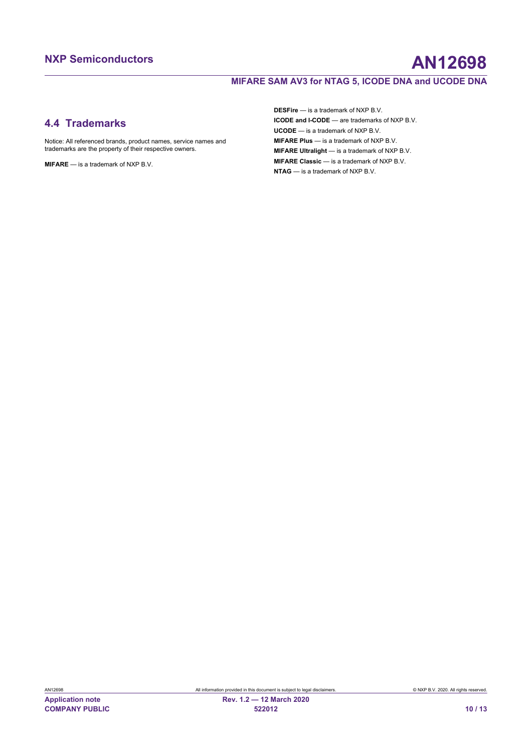# **NXP Semiconductors AN12698**

## **MIFARE SAM AV3 for NTAG 5, ICODE DNA and UCODE DNA**

## **4.4 Trademarks**

Notice: All referenced brands, product names, service names and trademarks are the property of their respective owners.

**MIFARE** — is a trademark of NXP B.V.

**DESFire** — is a trademark of NXP B.V. **ICODE and I-CODE** — are trademarks of NXP B.V. **UCODE** — is a trademark of NXP B.V. **MIFARE Plus** — is a trademark of NXP B.V. **MIFARE Ultralight** — is a trademark of NXP B.V. **MIFARE Classic** — is a trademark of NXP B.V. **NTAG** — is a trademark of NXP B.V.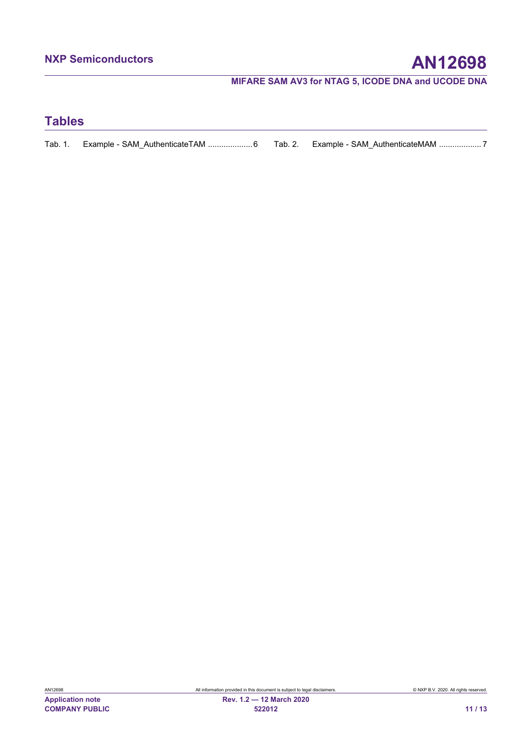# **Tables**

|  | Tab. 1. Example - SAM AuthenticateTAM 6 Tab. 2. Example - SAM AuthenticateMAM 7 |  |  |
|--|---------------------------------------------------------------------------------|--|--|
|--|---------------------------------------------------------------------------------|--|--|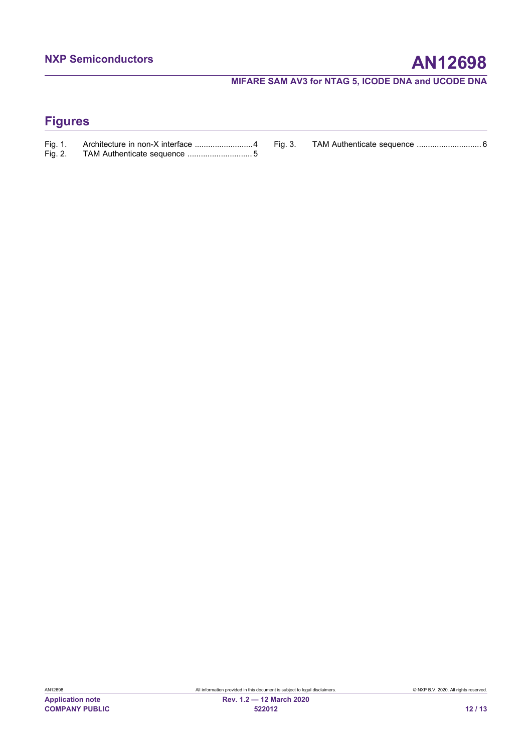# **Figures**

| Fig. 1. | Architecture in non-X interface 4 |  |
|---------|-----------------------------------|--|
| Fig. 2. |                                   |  |

[Fig. 3.](#page-5-1) [TAM Authenticate sequence .............................](#page-5-1) 6

**COMPANY PUBLIC 522012 12 / 13**